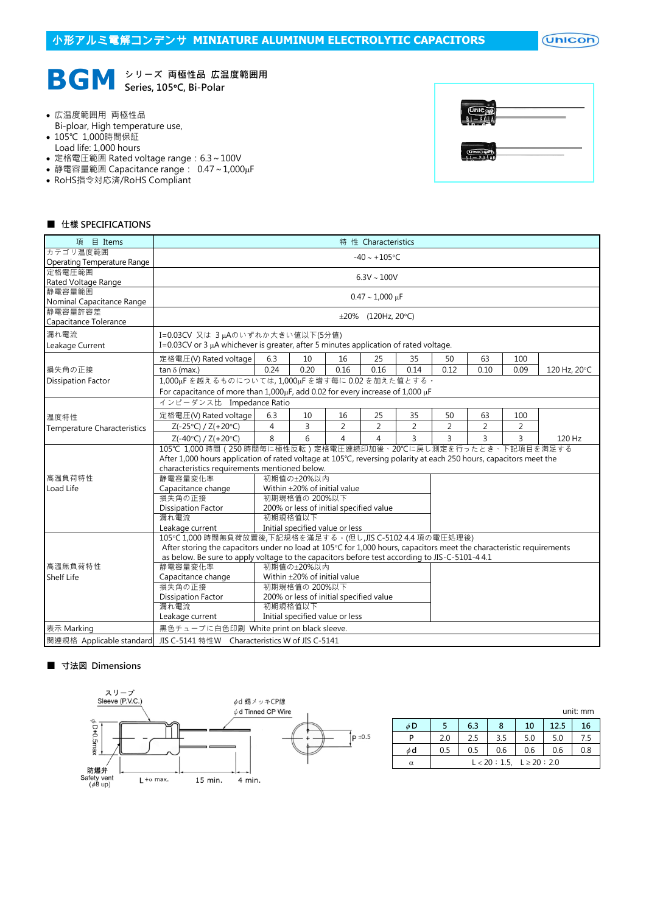$($ Unicon $)$ 



**BGM** シリーズ 両極性品 広温度範囲用

- 広温度範囲用 両極性品
- Bi-ploar, High temperature use,
- 105℃ 1,000時間保証
- Load life: 1,000 hours
- 定格電圧範囲 Rated voltage range: 6.3~100V
- 静電容量範囲 Capacitance range: 0.47~1,000µF
- RoHS指令対応済/RoHS Compliant

| ñ<br>۰       |  |
|--------------|--|
| <b>Cinic</b> |  |

#### ■ 仕樣 SPECIFICATIONS

| 目 Items<br>項                |                                                                                                                      |      |                                         |                | 特 性 Characteristics |                |                |                |                |              |
|-----------------------------|----------------------------------------------------------------------------------------------------------------------|------|-----------------------------------------|----------------|---------------------|----------------|----------------|----------------|----------------|--------------|
| カテゴリ温度範囲                    |                                                                                                                      |      |                                         |                | $-40 \sim +105$ °C  |                |                |                |                |              |
| Operating Temperature Range |                                                                                                                      |      |                                         |                |                     |                |                |                |                |              |
| 定格電圧範囲                      |                                                                                                                      |      |                                         |                |                     |                |                |                |                |              |
| Rated Voltage Range         | $6.3V \sim 100V$                                                                                                     |      |                                         |                |                     |                |                |                |                |              |
| 静電容量範囲                      | $0.47 \sim 1,000 \,\mu F$                                                                                            |      |                                         |                |                     |                |                |                |                |              |
| Nominal Capacitance Range   |                                                                                                                      |      |                                         |                |                     |                |                |                |                |              |
| 静電容量許容差                     |                                                                                                                      |      |                                         |                | ±20% (120Hz, 20°C)  |                |                |                |                |              |
| Capacitance Tolerance       |                                                                                                                      |      |                                         |                |                     |                |                |                |                |              |
| 漏れ電流                        | I=0.03CV 又は 3µAのいずれか大きい値以下(5分値)                                                                                      |      |                                         |                |                     |                |                |                |                |              |
| Leakage Current             | I=0.03CV or 3 $\mu$ A whichever is greater, after 5 minutes application of rated voltage.                            |      |                                         |                |                     |                |                |                |                |              |
|                             |                                                                                                                      |      |                                         |                |                     |                |                |                |                |              |
|                             | 定格電圧(V) Rated voltage                                                                                                | 6.3  | 10                                      | 16             | 25                  | 35             | 50             | 63             | 100            |              |
| 損失角の正接                      | tan $\delta$ (max.)                                                                                                  | 0.24 | 0.20                                    | 0.16           | 0.16                | 0.14           | 0.12           | 0.10           | 0.09           | 120 Hz, 20°C |
| <b>Dissipation Factor</b>   | 1,000uFを越えるものについては,1,000uFを増す每に0.02を加えた値とする。                                                                         |      |                                         |                |                     |                |                |                |                |              |
|                             | For capacitance of more than $1,000\mu$ F, add 0.02 for every increase of $1,000\mu$ F                               |      |                                         |                |                     |                |                |                |                |              |
|                             | インピーダンス比 Impedance Ratio                                                                                             |      |                                         |                |                     |                |                |                |                |              |
| 温度特性                        | 定格電圧(V) Rated voltage                                                                                                | 6.3  | 10                                      | 16             | 25                  | 35             | 50             | 63             | 100            |              |
| Temperature Characteristics | $Z(-25°C) / Z(+20°C)$                                                                                                | 4    | 3                                       | $\overline{2}$ | $\overline{2}$      | $\overline{2}$ | $\overline{2}$ | 2              | 2              |              |
|                             | $Z(-40°C) / Z(+20°C)$                                                                                                | 8    | 6                                       | $\overline{4}$ | $\overline{4}$      | 3              | $\overline{3}$ | $\overline{3}$ | $\overline{3}$ | 120 Hz       |
|                             | 105℃ 1,000 時間 (250 時間毎に極性反転) 定格電圧連続印加後、20℃に戻し測定を行ったとき、下記項目を満足する                                                      |      |                                         |                |                     |                |                |                |                |              |
|                             | After 1,000 hours application of rated voltage at 105°C, reversing polarity at each 250 hours, capacitors meet the   |      |                                         |                |                     |                |                |                |                |              |
|                             | characteristics requirements mentioned below.                                                                        |      |                                         |                |                     |                |                |                |                |              |
| 高温負荷特性                      | 静電容量変化率                                                                                                              |      | 初期值の±20%以内                              |                |                     |                |                |                |                |              |
| Load Life                   | Capacitance change                                                                                                   |      | Within ±20% of initial value            |                |                     |                |                |                |                |              |
|                             | 損失角の正接                                                                                                               |      | 初期規格值の 200%以下                           |                |                     |                |                |                |                |              |
|                             | <b>Dissipation Factor</b>                                                                                            |      | 200% or less of initial specified value |                |                     |                |                |                |                |              |
|                             | 漏れ電流                                                                                                                 |      | 初期規格值以下                                 |                |                     |                |                |                |                |              |
|                             | Leakage current                                                                                                      |      | Initial specified value or less         |                |                     |                |                |                |                |              |
|                             | 105℃1,000 時間無負荷放置後,下記規格を滿足する。(但し,JIS C-5102 4.4 項の電圧処理後)                                                             |      |                                         |                |                     |                |                |                |                |              |
|                             | After storing the capacitors under no load at 105°C for 1,000 hours, capacitors meet the characteristic requirements |      |                                         |                |                     |                |                |                |                |              |
|                             | as below. Be sure to apply voltage to the capacitors before test according to JIS-C-5101-4 4.1                       |      |                                         |                |                     |                |                |                |                |              |
| 高溫無負荷特性                     | 静電容量変化率                                                                                                              |      | 初期值の±20%以内                              |                |                     |                |                |                |                |              |
| Shelf Life                  | Capacitance change                                                                                                   |      | Within $\pm$ 20% of initial value       |                |                     |                |                |                |                |              |
|                             | 損失角の正接                                                                                                               |      | 初期規格值の 200%以下                           |                |                     |                |                |                |                |              |
|                             | <b>Dissipation Factor</b>                                                                                            |      | 200% or less of initial specified value |                |                     |                |                |                |                |              |
|                             | 漏れ電流                                                                                                                 |      | 初期規格值以下                                 |                |                     |                |                |                |                |              |
|                             | Leakage current                                                                                                      |      | Initial specified value or less         |                |                     |                |                |                |                |              |
| 表示 Marking                  | 黒色チューブに白色印刷 White print on black sleeve.                                                                             |      |                                         |                |                     |                |                |                |                |              |
| 関連規格 Applicable standard    | JIS C-5141 特性W Characteristics W of JIS C-5141                                                                       |      |                                         |                |                     |                |                |                |                |              |

#### ■ 寸法図 Dimensions



|    |     |     |                                  |     |      | unit: mm |
|----|-----|-----|----------------------------------|-----|------|----------|
| φD |     | 6.3 | 8                                | 10  | 12.5 | 16       |
| P  | 2.0 | 2.5 | 3.5                              | 5.0 | 5.0  | 7.5      |
| φd | 0.5 | 0.5 | 0.6                              | 0.6 | 0.6  | 0.8      |
| α  |     |     | $L < 20$ : 1.5, $L \ge 20$ : 2.0 |     |      |          |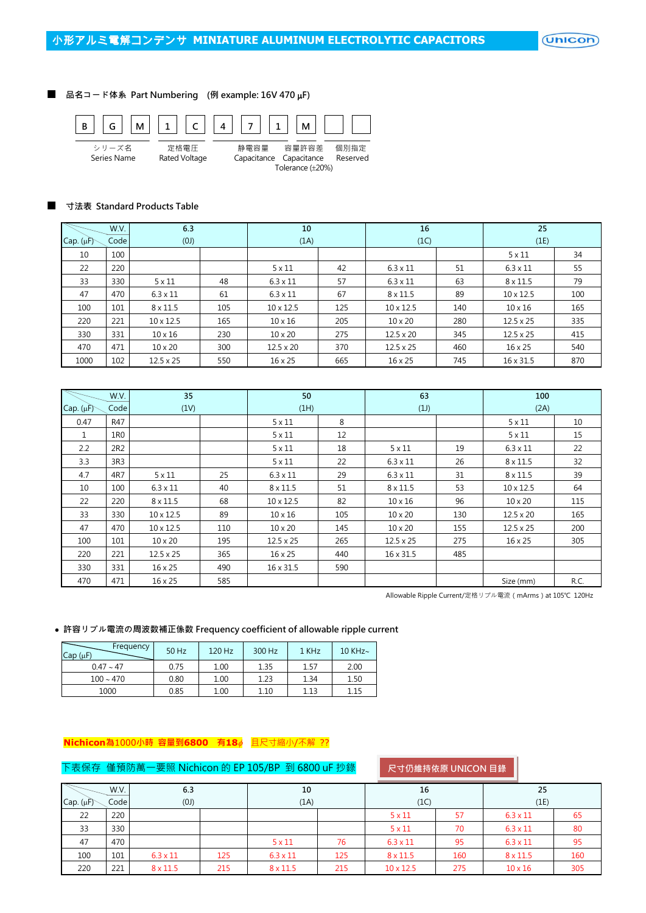$($ Unicon $)$ 

## ■ 品名コード体系 Part Numbering (例 example: 16V 470 µF)



#### ■ 寸法表 Standard Products Table

|                      | W.V. | 6.3              |     | 10               |     | 16               |     | 25               |     |
|----------------------|------|------------------|-----|------------------|-----|------------------|-----|------------------|-----|
| Cap. $(\mu \hat{F})$ | Code | (0)              |     | (1A)             |     | (1C)             |     | (1E)             |     |
| 10                   | 100  |                  |     |                  |     |                  |     | $5 \times 11$    | 34  |
| 22                   | 220  |                  |     | $5 \times 11$    | 42  | $6.3 \times 11$  | 51  | $6.3 \times 11$  | 55  |
| 33                   | 330  | $5 \times 11$    | 48  | $6.3 \times 11$  | 57  | $6.3 \times 11$  | 63  | $8 \times 11.5$  | 79  |
| 47                   | 470  | $6.3 \times 11$  | 61  | $6.3 \times 11$  | 67  | $8 \times 11.5$  | 89  | $10 \times 12.5$ | 100 |
| 100                  | 101  | $8 \times 11.5$  | 105 | $10 \times 12.5$ | 125 | $10 \times 12.5$ | 140 | $10 \times 16$   | 165 |
| 220                  | 221  | $10 \times 12.5$ | 165 | $10 \times 16$   | 205 | $10 \times 20$   | 280 | $12.5 \times 25$ | 335 |
| 330                  | 331  | $10 \times 16$   | 230 | $10 \times 20$   | 275 | $12.5 \times 20$ | 345 | $12.5 \times 25$ | 415 |
| 470                  | 471  | $10 \times 20$   | 300 | $12.5 \times 20$ | 370 | $12.5 \times 25$ | 460 | $16 \times 25$   | 540 |
| 1000                 | 102  | $12.5 \times 25$ | 550 | $16 \times 25$   | 665 | $16 \times 25$   | 745 | 16 x 31.5        | 870 |

| 35<br>W.V.     |                 | 50               |     | 63               |     | 100              |     |                  |      |
|----------------|-----------------|------------------|-----|------------------|-----|------------------|-----|------------------|------|
| Cap. $(\mu F)$ | Code            | (1V)             |     | (1H)             |     | (1)              |     | (2A)             |      |
| 0.47           | R47             |                  |     | $5 \times 11$    | 8   |                  |     | $5 \times 11$    | 10   |
| 1              | 1R <sub>0</sub> |                  |     | $5 \times 11$    | 12  |                  |     | $5 \times 11$    | 15   |
| 2.2            | 2R2             |                  |     | $5 \times 11$    | 18  | $5 \times 11$    | 19  | $6.3 \times 11$  | 22   |
| 3.3            | 3R3             |                  |     | $5 \times 11$    | 22  | $6.3 \times 11$  | 26  | $8 \times 11.5$  | 32   |
| 4.7            | 4R7             | $5 \times 11$    | 25  | $6.3 \times 11$  | 29  | $6.3 \times 11$  | 31  | $8 \times 11.5$  | 39   |
| 10             | 100             | $6.3 \times 11$  | 40  | $8 \times 11.5$  | 51  | $8 \times 11.5$  | 53  | $10 \times 12.5$ | 64   |
| 22             | 220             | $8 \times 11.5$  | 68  | $10 \times 12.5$ | 82  | $10 \times 16$   | 96  | $10 \times 20$   | 115  |
| 33             | 330             | $10 \times 12.5$ | 89  | $10 \times 16$   | 105 | $10 \times 20$   | 130 | $12.5 \times 20$ | 165  |
| 47             | 470             | $10 \times 12.5$ | 110 | $10 \times 20$   | 145 | $10 \times 20$   | 155 | $12.5 \times 25$ | 200  |
| 100            | 101             | $10 \times 20$   | 195 | $12.5 \times 25$ | 265 | $12.5 \times 25$ | 275 | $16 \times 25$   | 305  |
| 220            | 221             | $12.5 \times 25$ | 365 | $16 \times 25$   | 440 | 16 x 31.5        | 485 |                  |      |
| 330            | 331             | 16 x 25          | 490 | 16 x 31.5        | 590 |                  |     |                  |      |
| 470            | 471             | 16 x 25          | 585 |                  |     |                  |     | Size (mm)        | R.C. |

Allowable Ripple Current/定格リプル電流 (mArms) at 105℃ 120Hz

## 許容リプル電流の周波数補正係数 Frequency coefficient of allowable ripple current

| Frequency<br>Cap(nF) | 50 Hz | 120 Hz | 300 Hz | 1 KHz | 10 KHz $\sim$ |
|----------------------|-------|--------|--------|-------|---------------|
| $0.47 \sim 47$       | 0.75  | 1.00   | 1.35   | 1.57  | 2.00          |
| $100 - 470$          | 0.80  | 1.00   | 1.23   | 1.34  | 1.50          |
| 1000                 | 0.85  | 1.00   | 1.10   | 1.13  | 1.15          |

# **Nichicon**為1000小時 容量到6800 有18<sup>p</sup> 且尺寸縮小/不解 ??

# 下表保存 僅預防萬一要照 Nichicon 的 EP 105/BP 到 6800 uF 抄錄

尺寸仍維持依原 UNICON 目錄

|                | W.V. | 6.3             |     | 10              |     | 16               |     | 25              |     |
|----------------|------|-----------------|-----|-----------------|-----|------------------|-----|-----------------|-----|
| Cap. $(\mu F)$ | Code | (0)             |     | (1A)            |     | (1C)             |     | (1E)            |     |
| 22             | 220  |                 |     |                 |     | $5 \times 11$    | 57  | $6.3 \times 11$ | 65  |
| 33             | 330  |                 |     |                 |     | $5 \times 11$    | 70  | $6.3 \times 11$ | 80  |
| 47             | 470  |                 |     | $5 \times 11$   | 76  | $6.3 \times 11$  | 95  | $6.3 \times 11$ | 95  |
| 100            | 101  | $6.3 \times 11$ | 125 | $6.3 \times 11$ | 125 | $8 \times 11.5$  | 160 | $8 \times 11.5$ | 160 |
| 220            | 221  | $8 \times 11.5$ | 215 | $8 \times 11.5$ | 215 | $10 \times 12.5$ | 275 | $10 \times 16$  | 305 |